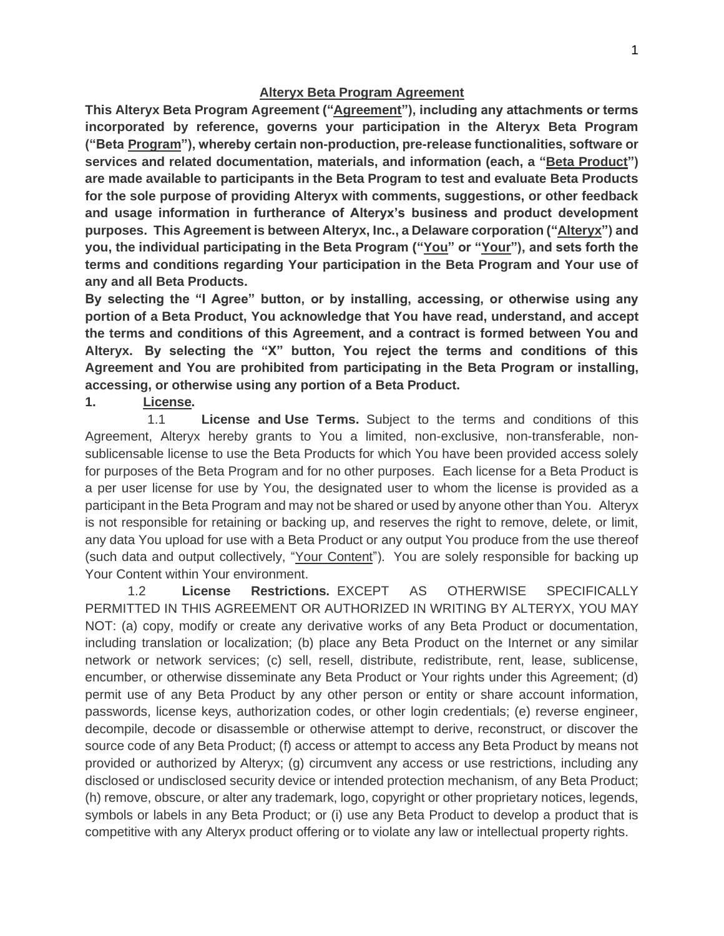#### **Alteryx Beta Program Agreement**

**This Alteryx Beta Program Agreement ("Agreement"), including any attachments or terms incorporated by reference, governs your participation in the Alteryx Beta Program ("Beta Program"), whereby certain non-production, pre-release functionalities, software or services and related documentation, materials, and information (each, a "Beta Product") are made available to participants in the Beta Program to test and evaluate Beta Products for the sole purpose of providing Alteryx with comments, suggestions, or other feedback and usage information in furtherance of Alteryx's business and product development purposes. This Agreement is between Alteryx, Inc., a Delaware corporation ("Alteryx") and you, the individual participating in the Beta Program ("You" or "Your"), and sets forth the terms and conditions regarding Your participation in the Beta Program and Your use of any and all Beta Products.** 

**By selecting the "I Agree" button, or by installing, accessing, or otherwise using any portion of a Beta Product, You acknowledge that You have read, understand, and accept the terms and conditions of this Agreement, and a contract is formed between You and Alteryx. By selecting the "X" button, You reject the terms and conditions of this Agreement and You are prohibited from participating in the Beta Program or installing, accessing, or otherwise using any portion of a Beta Product.**

### **1. License.**

 1.1 **License and Use Terms.** Subject to the terms and conditions of this Agreement, Alteryx hereby grants to You a limited, non-exclusive, non-transferable, nonsublicensable license to use the Beta Products for which You have been provided access solely for purposes of the Beta Program and for no other purposes. Each license for a Beta Product is a per user license for use by You, the designated user to whom the license is provided as a participant in the Beta Program and may not be shared or used by anyone other than You. Alteryx is not responsible for retaining or backing up, and reserves the right to remove, delete, or limit, any data You upload for use with a Beta Product or any output You produce from the use thereof (such data and output collectively, "Your Content"). You are solely responsible for backing up Your Content within Your environment.

1.2 **License Restrictions.** EXCEPT AS OTHERWISE SPECIFICALLY PERMITTED IN THIS AGREEMENT OR AUTHORIZED IN WRITING BY ALTERYX, YOU MAY NOT: (a) copy, modify or create any derivative works of any Beta Product or documentation, including translation or localization; (b) place any Beta Product on the Internet or any similar network or network services; (c) sell, resell, distribute, redistribute, rent, lease, sublicense, encumber, or otherwise disseminate any Beta Product or Your rights under this Agreement; (d) permit use of any Beta Product by any other person or entity or share account information, passwords, license keys, authorization codes, or other login credentials; (e) reverse engineer, decompile, decode or disassemble or otherwise attempt to derive, reconstruct, or discover the source code of any Beta Product; (f) access or attempt to access any Beta Product by means not provided or authorized by Alteryx; (g) circumvent any access or use restrictions, including any disclosed or undisclosed security device or intended protection mechanism, of any Beta Product; (h) remove, obscure, or alter any trademark, logo, copyright or other proprietary notices, legends, symbols or labels in any Beta Product; or (i) use any Beta Product to develop a product that is competitive with any Alteryx product offering or to violate any law or intellectual property rights.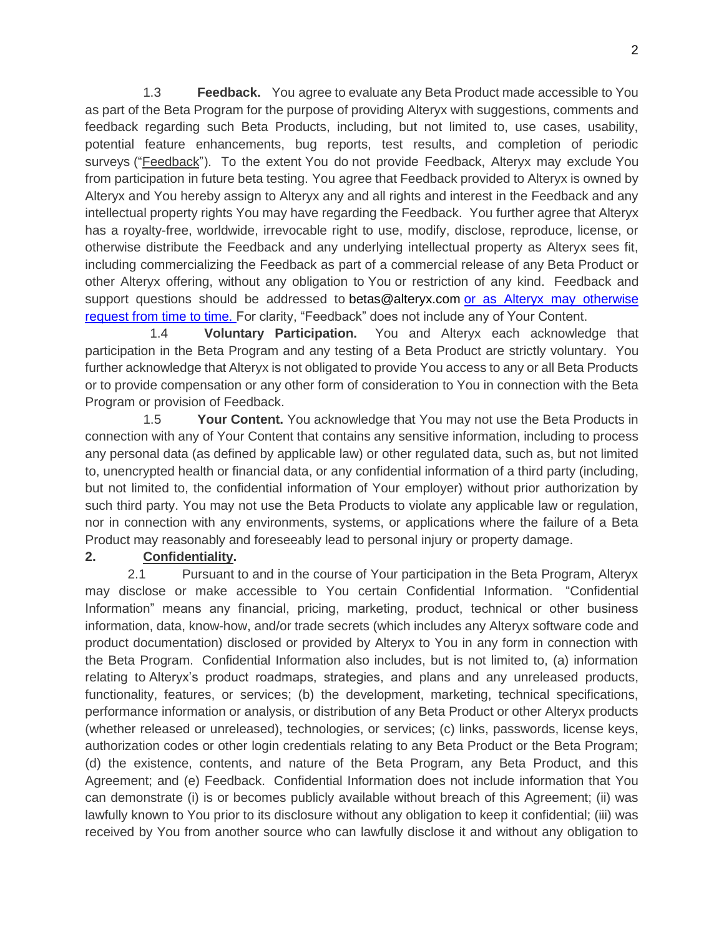1.3 **Feedback.** You agree to evaluate any Beta Product made accessible to You as part of the Beta Program for the purpose of providing Alteryx with suggestions, comments and feedback regarding such Beta Products, including, but not limited to, use cases, usability, potential feature enhancements, bug reports, test results, and completion of periodic surveys ("Feedback"). To the extent You do not provide Feedback, Alteryx may exclude You from participation in future beta testing. You agree that Feedback provided to Alteryx is owned by Alteryx and You hereby assign to Alteryx any and all rights and interest in the Feedback and any intellectual property rights You may have regarding the Feedback. You further agree that Alteryx has a royalty-free, worldwide, irrevocable right to use, modify, disclose, reproduce, license, or otherwise distribute the Feedback and any underlying intellectual property as Alteryx sees fit, including commercializing the Feedback as part of a commercial release of any Beta Product or other Alteryx offering, without any obligation to You or restriction of any kind. Feedback and support questions should be addressed to [betas@alteryx.com](mailto:betas@alteryx.com) or as Alteryx may otherwise request from time to time. For clarity, "Feedback" does not include any of Your Content.

 1.4 **Voluntary Participation.** You and Alteryx each acknowledge that participation in the Beta Program and any testing of a Beta Product are strictly voluntary. You further acknowledge that Alteryx is not obligated to provide You access to any or all Beta Products or to provide compensation or any other form of consideration to You in connection with the Beta Program or provision of Feedback.

 1.5 **Your Content.** You acknowledge that You may not use the Beta Products in connection with any of Your Content that contains any sensitive information, including to process any personal data (as defined by applicable law) or other regulated data, such as, but not limited to, unencrypted health or financial data, or any confidential information of a third party (including, but not limited to, the confidential information of Your employer) without prior authorization by such third party. You may not use the Beta Products to violate any applicable law or regulation, nor in connection with any environments, systems, or applications where the failure of a Beta Product may reasonably and foreseeably lead to personal injury or property damage.

## **2. Confidentiality.**

2.1 Pursuant to and in the course of Your participation in the Beta Program, Alteryx may disclose or make accessible to You certain Confidential Information. "Confidential Information" means any financial, pricing, marketing, product, technical or other business information, data, know-how, and/or trade secrets (which includes any Alteryx software code and product documentation) disclosed or provided by Alteryx to You in any form in connection with the Beta Program. Confidential Information also includes, but is not limited to, (a) information relating to Alteryx's product roadmaps, strategies, and plans and any unreleased products, functionality, features, or services; (b) the development, marketing, technical specifications, performance information or analysis, or distribution of any Beta Product or other Alteryx products (whether released or unreleased), technologies, or services; (c) links, passwords, license keys, authorization codes or other login credentials relating to any Beta Product or the Beta Program; (d) the existence, contents, and nature of the Beta Program, any Beta Product, and this Agreement; and (e) Feedback. Confidential Information does not include information that You can demonstrate (i) is or becomes publicly available without breach of this Agreement; (ii) was lawfully known to You prior to its disclosure without any obligation to keep it confidential; (iii) was received by You from another source who can lawfully disclose it and without any obligation to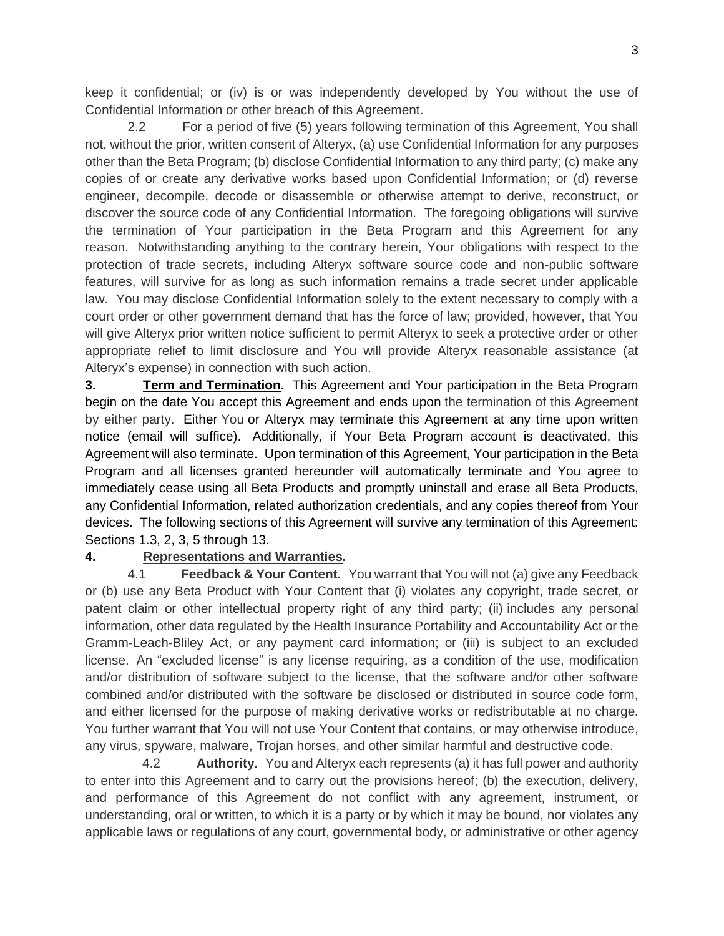keep it confidential; or (iv) is or was independently developed by You without the use of Confidential Information or other breach of this Agreement.

2.2 For a period of five (5) years following termination of this Agreement, You shall not, without the prior, written consent of Alteryx, (a) use Confidential Information for any purposes other than the Beta Program; (b) disclose Confidential Information to any third party; (c) make any copies of or create any derivative works based upon Confidential Information; or (d) reverse engineer, decompile, decode or disassemble or otherwise attempt to derive, reconstruct, or discover the source code of any Confidential Information. The foregoing obligations will survive the termination of Your participation in the Beta Program and this Agreement for any reason. Notwithstanding anything to the contrary herein, Your obligations with respect to the protection of trade secrets, including Alteryx software source code and non-public software features, will survive for as long as such information remains a trade secret under applicable law. You may disclose Confidential Information solely to the extent necessary to comply with a court order or other government demand that has the force of law; provided, however, that You will give Alteryx prior written notice sufficient to permit Alteryx to seek a protective order or other appropriate relief to limit disclosure and You will provide Alteryx reasonable assistance (at Alteryx's expense) in connection with such action.

**3. Term and Termination.** This Agreement and Your participation in the Beta Program begin on the date You accept this Agreement and ends upon the termination of this Agreement by either party. Either You or Alteryx may terminate this Agreement at any time upon written notice (email will suffice). Additionally, if Your Beta Program account is deactivated, this Agreement will also terminate. Upon termination of this Agreement, Your participation in the Beta Program and all licenses granted hereunder will automatically terminate and You agree to immediately cease using all Beta Products and promptly uninstall and erase all Beta Products, any Confidential Information, related authorization credentials, and any copies thereof from Your devices. The following sections of this Agreement will survive any termination of this Agreement: Sections 1.3, 2, 3, 5 through 13.

### **4. Representations and Warranties.**

4.1 **Feedback & Your Content.** You warrant that You will not (a) give any Feedback or (b) use any Beta Product with Your Content that (i) violates any copyright, trade secret, or patent claim or other intellectual property right of any third party; (ii) includes any personal information, other data regulated by the Health Insurance Portability and Accountability Act or the Gramm-Leach-Bliley Act, or any payment card information; or (iii) is subject to an excluded license. An "excluded license" is any license requiring, as a condition of the use, modification and/or distribution of software subject to the license, that the software and/or other software combined and/or distributed with the software be disclosed or distributed in source code form, and either licensed for the purpose of making derivative works or redistributable at no charge. You further warrant that You will not use Your Content that contains, or may otherwise introduce, any virus, spyware, malware, Trojan horses, and other similar harmful and destructive code.

 4.2 **Authority.** You and Alteryx each represents (a) it has full power and authority to enter into this Agreement and to carry out the provisions hereof; (b) the execution, delivery, and performance of this Agreement do not conflict with any agreement, instrument, or understanding, oral or written, to which it is a party or by which it may be bound, nor violates any applicable laws or regulations of any court, governmental body, or administrative or other agency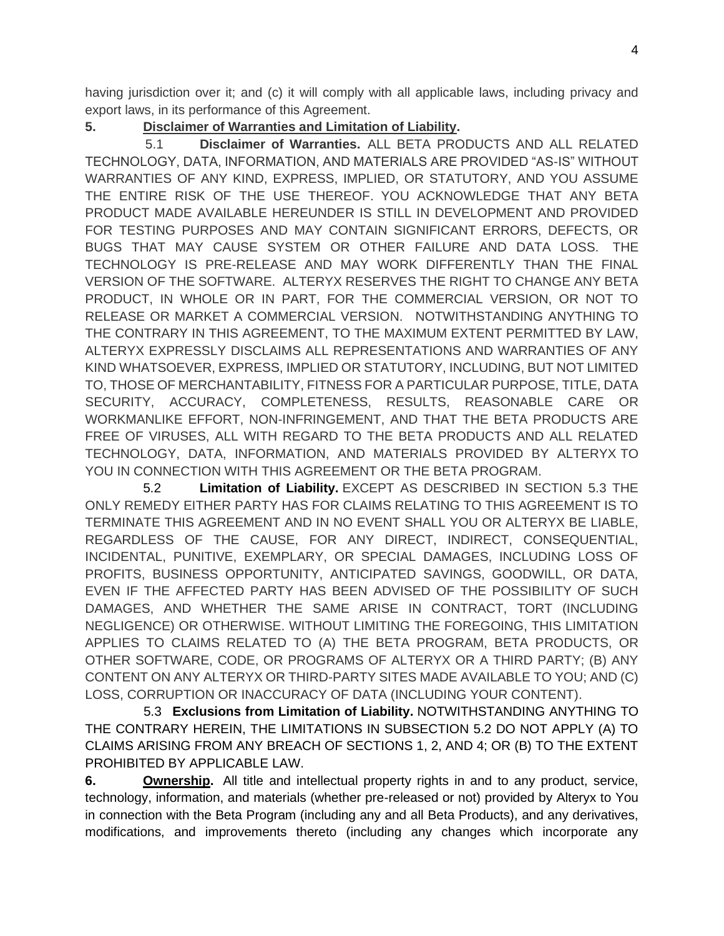having jurisdiction over it; and (c) it will comply with all applicable laws, including privacy and export laws, in its performance of this Agreement.

# **5. Disclaimer of Warranties and Limitation of Liability.**

 5.1 **Disclaimer of Warranties.** ALL BETA PRODUCTS AND ALL RELATED TECHNOLOGY, DATA, INFORMATION, AND MATERIALS ARE PROVIDED "AS-IS" WITHOUT WARRANTIES OF ANY KIND, EXPRESS, IMPLIED, OR STATUTORY, AND YOU ASSUME THE ENTIRE RISK OF THE USE THEREOF.YOU ACKNOWLEDGE THAT ANY BETA PRODUCT MADE AVAILABLE HEREUNDER IS STILL IN DEVELOPMENT AND PROVIDED FOR TESTING PURPOSES AND MAY CONTAIN SIGNIFICANT ERRORS, DEFECTS, OR BUGS THAT MAY CAUSE SYSTEM OR OTHER FAILURE AND DATA LOSS. THE TECHNOLOGY IS PRE-RELEASE AND MAY WORK DIFFERENTLY THAN THE FINAL VERSION OF THE SOFTWARE. ALTERYX RESERVES THE RIGHT TO CHANGE ANY BETA PRODUCT, IN WHOLE OR IN PART, FOR THE COMMERCIAL VERSION, OR NOT TO RELEASE OR MARKET A COMMERCIAL VERSION. NOTWITHSTANDING ANYTHING TO THE CONTRARY IN THIS AGREEMENT, TO THE MAXIMUM EXTENT PERMITTED BY LAW, ALTERYX EXPRESSLY DISCLAIMS ALL REPRESENTATIONS AND WARRANTIES OF ANY KIND WHATSOEVER, EXPRESS, IMPLIED OR STATUTORY, INCLUDING, BUT NOT LIMITED TO, THOSE OF MERCHANTABILITY, FITNESS FOR A PARTICULAR PURPOSE, TITLE, DATA SECURITY, ACCURACY, COMPLETENESS, RESULTS, REASONABLE CARE OR WORKMANLIKE EFFORT, NON-INFRINGEMENT, AND THAT THE BETA PRODUCTS ARE FREE OF VIRUSES, ALL WITH REGARD TO THE BETA PRODUCTS AND ALL RELATED TECHNOLOGY, DATA, INFORMATION, AND MATERIALS PROVIDED BY ALTERYX TO YOU IN CONNECTION WITH THIS AGREEMENT OR THE BETA PROGRAM.

5.2 **Limitation of Liability.** EXCEPT AS DESCRIBED IN SECTION 5.3 THE ONLY REMEDY EITHER PARTY HAS FOR CLAIMS RELATING TO THIS AGREEMENT IS TO TERMINATE THIS AGREEMENT AND IN NO EVENT SHALL YOU OR ALTERYX BE LIABLE, REGARDLESS OF THE CAUSE, FOR ANY DIRECT, INDIRECT, CONSEQUENTIAL, INCIDENTAL, PUNITIVE, EXEMPLARY, OR SPECIAL DAMAGES, INCLUDING LOSS OF PROFITS, BUSINESS OPPORTUNITY, ANTICIPATED SAVINGS, GOODWILL, OR DATA, EVEN IF THE AFFECTED PARTY HAS BEEN ADVISED OF THE POSSIBILITY OF SUCH DAMAGES, AND WHETHER THE SAME ARISE IN CONTRACT, TORT (INCLUDING NEGLIGENCE) OR OTHERWISE. WITHOUT LIMITING THE FOREGOING, THIS LIMITATION APPLIES TO CLAIMS RELATED TO (A) THE BETA PROGRAM, BETA PRODUCTS, OR OTHER SOFTWARE, CODE, OR PROGRAMS OF ALTERYX OR A THIRD PARTY; (B) ANY CONTENT ON ANY ALTERYX OR THIRD-PARTY SITES MADE AVAILABLE TO YOU; AND (C) LOSS, CORRUPTION OR INACCURACY OF DATA (INCLUDING YOUR CONTENT).

 5.3 **Exclusions from Limitation of Liability.** NOTWITHSTANDING ANYTHING TO THE CONTRARY HEREIN, THE LIMITATIONS IN SUBSECTION 5.2 DO NOT APPLY (A) TO CLAIMS ARISING FROM ANY BREACH OF SECTIONS 1, 2, AND 4; OR (B) TO THE EXTENT PROHIBITED BY APPLICABLE LAW.

**6.** Ownership. All title and intellectual property rights in and to any product, service, technology, information, and materials (whether pre-released or not) provided by Alteryx to You in connection with the Beta Program (including any and all Beta Products), and any derivatives, modifications, and improvements thereto (including any changes which incorporate any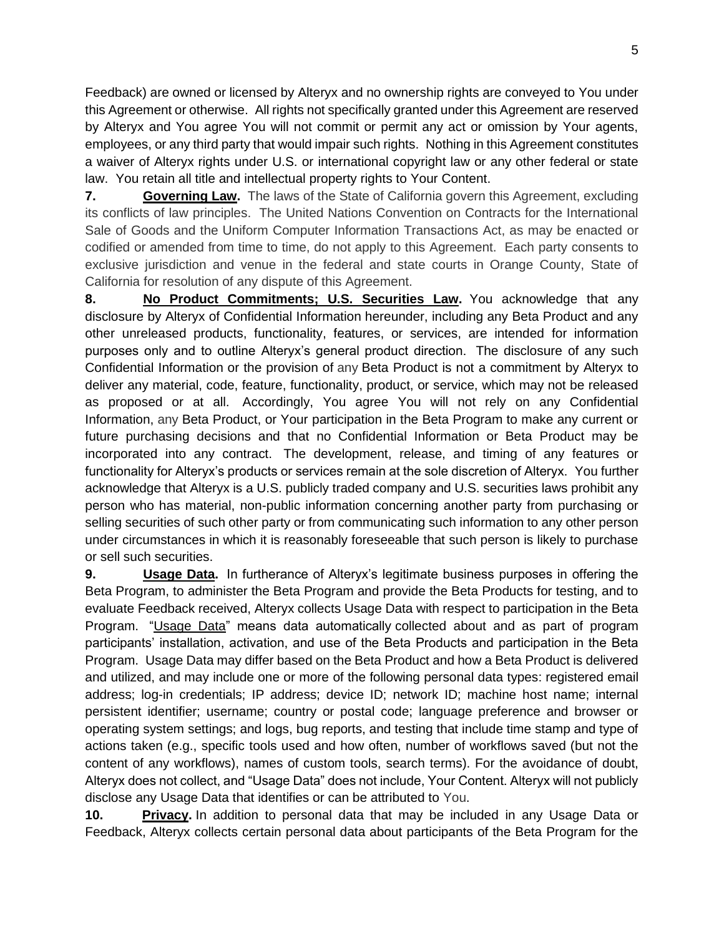Feedback) are owned or licensed by Alteryx and no ownership rights are conveyed to You under this Agreement or otherwise. All rights not specifically granted under this Agreement are reserved by Alteryx and You agree You will not commit or permit any act or omission by Your agents, employees, or any third party that would impair such rights. Nothing in this Agreement constitutes a waiver of Alteryx rights under U.S. or international copyright law or any other federal or state law. You retain all title and intellectual property rights to Your Content.

**7. Governing Law.** The laws of the State of California govern this Agreement, excluding its conflicts of law principles. The United Nations Convention on Contracts for the International Sale of Goods and the Uniform Computer Information Transactions Act, as may be enacted or codified or amended from time to time, do not apply to this Agreement. Each party consents to exclusive jurisdiction and venue in the federal and state courts in Orange County, State of California for resolution of any dispute of this Agreement.

**8. No Product Commitments; U.S. Securities Law.** You acknowledge that any disclosure by Alteryx of Confidential Information hereunder, including any Beta Product and any other unreleased products, functionality, features, or services, are intended for information purposes only and to outline Alteryx's general product direction. The disclosure of any such Confidential Information or the provision of any Beta Product is not a commitment by Alteryx to deliver any material, code, feature, functionality, product, or service, which may not be released as proposed or at all. Accordingly, You agree You will not rely on any Confidential Information, any Beta Product, or Your participation in the Beta Program to make any current or future purchasing decisions and that no Confidential Information or Beta Product may be incorporated into any contract. The development, release, and timing of any features or functionality for Alteryx's products or services remain at the sole discretion of Alteryx. You further acknowledge that Alteryx is a U.S. publicly traded company and U.S. securities laws prohibit any person who has material, non-public information concerning another party from purchasing or selling securities of such other party or from communicating such information to any other person under circumstances in which it is reasonably foreseeable that such person is likely to purchase or sell such securities.

**9. Usage Data.** In furtherance of Alteryx's legitimate business purposes in offering the Beta Program, to administer the Beta Program and provide the Beta Products for testing, and to evaluate Feedback received, Alteryx collects Usage Data with respect to participation in the Beta Program. "Usage Data" means data automatically collected about and as part of program participants' installation, activation, and use of the Beta Products and participation in the Beta Program. Usage Data may differ based on the Beta Product and how a Beta Product is delivered and utilized, and may include one or more of the following personal data types: registered email address; log-in credentials; IP address; device ID; network ID; machine host name; internal persistent identifier; username; country or postal code; language preference and browser or operating system settings; and logs, bug reports, and testing that include time stamp and type of actions taken (e.g., specific tools used and how often, number of workflows saved (but not the content of any workflows), names of custom tools, search terms). For the avoidance of doubt, Alteryx does not collect, and "Usage Data" does not include, Your Content. Alteryx will not publicly disclose any Usage Data that identifies or can be attributed to You.

**10. Privacy.** In addition to personal data that may be included in any Usage Data or Feedback, Alteryx collects certain personal data about participants of the Beta Program for the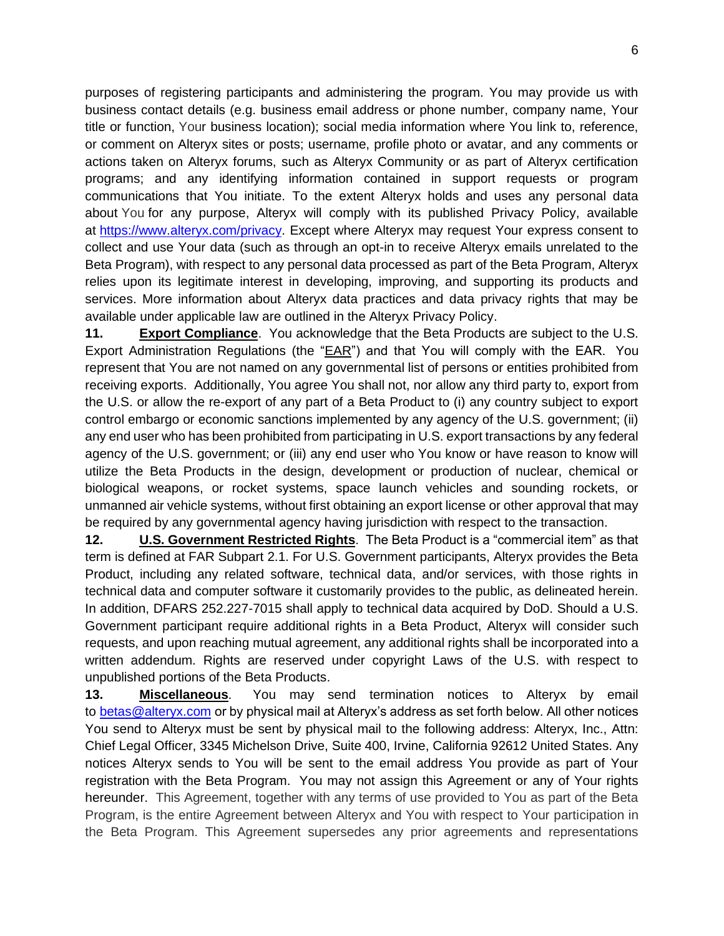purposes of registering participants and administering the program. You may provide us with business contact details (e.g. business email address or phone number, company name, Your title or function, Your business location); social media information where You link to, reference, or comment on Alteryx sites or posts; username, profile photo or avatar, and any comments or actions taken on Alteryx forums, such as Alteryx Community or as part of Alteryx certification programs; and any identifying information contained in support requests or program communications that You initiate. To the extent Alteryx holds and uses any personal data about You for any purpose, Alteryx will comply with its published Privacy Policy, available at [https://www.alteryx.com/privacy.](https://www.alteryx.com/privacy) Except where Alteryx may request Your express consent to collect and use Your data (such as through an opt-in to receive Alteryx emails unrelated to the Beta Program), with respect to any personal data processed as part of the Beta Program, Alteryx relies upon its legitimate interest in developing, improving, and supporting its products and services. More information about Alteryx data practices and data privacy rights that may be available under applicable law are outlined in the Alteryx Privacy Policy.

**11. Export Compliance**.You acknowledge that the Beta Products are subject to the U.S. Export Administration Regulations (the "EAR") and that You will comply with the EAR. You represent that You are not named on any governmental list of persons or entities prohibited from receiving exports. Additionally, You agree You shall not, nor allow any third party to, export from the U.S. or allow the re-export of any part of a Beta Product to (i) any country subject to export control embargo or economic sanctions implemented by any agency of the U.S. government; (ii) any end user who has been prohibited from participating in U.S. export transactions by any federal agency of the U.S. government; or (iii) any end user who You know or have reason to know will utilize the Beta Products in the design, development or production of nuclear, chemical or biological weapons, or rocket systems, space launch vehicles and sounding rockets, or unmanned air vehicle systems, without first obtaining an export license or other approval that may be required by any governmental agency having jurisdiction with respect to the transaction.

**12. U.S. Government Restricted Rights**. The Beta Product is a "commercial item" as that term is defined at FAR Subpart 2.1. For U.S. Government participants, Alteryx provides the Beta Product, including any related software, technical data, and/or services, with those rights in technical data and computer software it customarily provides to the public, as delineated herein. In addition, DFARS 252.227-7015 shall apply to technical data acquired by DoD. Should a U.S. Government participant require additional rights in a Beta Product, Alteryx will consider such requests, and upon reaching mutual agreement, any additional rights shall be incorporated into a written addendum. Rights are reserved under copyright Laws of the U.S. with respect to unpublished portions of the Beta Products.

**13. Miscellaneous**. You may send termination notices to Alteryx by email to [betas@alteryx.com](mailto:betas@alteryx.com) or by physical mail at Alteryx's address as set forth below. All other notices You send to Alteryx must be sent by physical mail to the following address: Alteryx, Inc., Attn: Chief Legal Officer, 3345 Michelson Drive, Suite 400, Irvine, California 92612 United States. Any notices Alteryx sends to You will be sent to the email address You provide as part of Your registration with the Beta Program. You may not assign this Agreement or any of Your rights hereunder. This Agreement, together with any terms of use provided to You as part of the Beta Program, is the entire Agreement between Alteryx and You with respect to Your participation in the Beta Program. This Agreement supersedes any prior agreements and representations